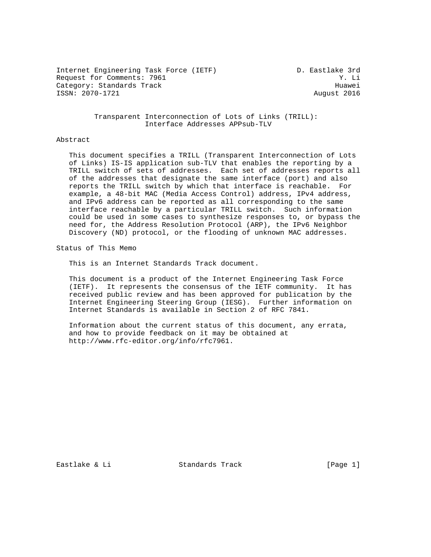Internet Engineering Task Force (IETF) D. Eastlake 3rd Request for Comments: 7961 Y. Li Category: Standards Track Huawei ISSN: 2070-1721 August 2016

 Transparent Interconnection of Lots of Links (TRILL): Interface Addresses APPsub-TLV

#### Abstract

 This document specifies a TRILL (Transparent Interconnection of Lots of Links) IS-IS application sub-TLV that enables the reporting by a TRILL switch of sets of addresses. Each set of addresses reports all of the addresses that designate the same interface (port) and also reports the TRILL switch by which that interface is reachable. For example, a 48-bit MAC (Media Access Control) address, IPv4 address, and IPv6 address can be reported as all corresponding to the same interface reachable by a particular TRILL switch. Such information could be used in some cases to synthesize responses to, or bypass the need for, the Address Resolution Protocol (ARP), the IPv6 Neighbor Discovery (ND) protocol, or the flooding of unknown MAC addresses.

Status of This Memo

This is an Internet Standards Track document.

 This document is a product of the Internet Engineering Task Force (IETF). It represents the consensus of the IETF community. It has received public review and has been approved for publication by the Internet Engineering Steering Group (IESG). Further information on Internet Standards is available in Section 2 of RFC 7841.

 Information about the current status of this document, any errata, and how to provide feedback on it may be obtained at http://www.rfc-editor.org/info/rfc7961.

Eastlake & Li **Standards Track** [Page 1]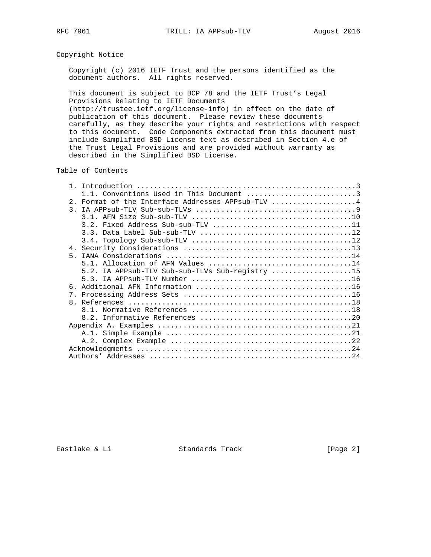# Copyright Notice

 Copyright (c) 2016 IETF Trust and the persons identified as the document authors. All rights reserved.

 This document is subject to BCP 78 and the IETF Trust's Legal Provisions Relating to IETF Documents

 (http://trustee.ietf.org/license-info) in effect on the date of publication of this document. Please review these documents carefully, as they describe your rights and restrictions with respect to this document. Code Components extracted from this document must include Simplified BSD License text as described in Section 4.e of the Trust Legal Provisions and are provided without warranty as described in the Simplified BSD License.

Table of Contents

| $\mathbf{1}$ |                                                 |
|--------------|-------------------------------------------------|
|              | 1.1. Conventions Used in This Document 3        |
| $2^{\circ}$  | Format of the Interface Addresses APPsub-TLV 4  |
|              |                                                 |
|              |                                                 |
|              |                                                 |
|              |                                                 |
|              |                                                 |
|              |                                                 |
| $5 -$        |                                                 |
|              |                                                 |
|              | 5.2. IA APPsub-TLV Sub-sub-TLVs Sub-registry 15 |
|              |                                                 |
|              |                                                 |
|              |                                                 |
|              |                                                 |
|              |                                                 |
|              |                                                 |
|              |                                                 |
|              |                                                 |
|              |                                                 |
|              |                                                 |
|              |                                                 |

Eastlake & Li Standards Track [Page 2]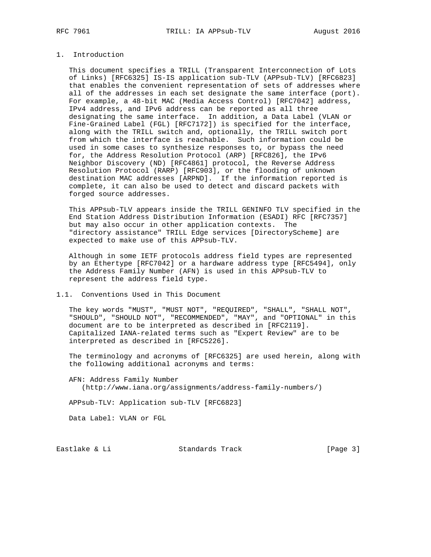### 1. Introduction

 This document specifies a TRILL (Transparent Interconnection of Lots of Links) [RFC6325] IS-IS application sub-TLV (APPsub-TLV) [RFC6823] that enables the convenient representation of sets of addresses where all of the addresses in each set designate the same interface (port). For example, a 48-bit MAC (Media Access Control) [RFC7042] address, IPv4 address, and IPv6 address can be reported as all three designating the same interface. In addition, a Data Label (VLAN or Fine-Grained Label (FGL) [RFC7172]) is specified for the interface, along with the TRILL switch and, optionally, the TRILL switch port from which the interface is reachable. Such information could be used in some cases to synthesize responses to, or bypass the need for, the Address Resolution Protocol (ARP) [RFC826], the IPv6 Neighbor Discovery (ND) [RFC4861] protocol, the Reverse Address Resolution Protocol (RARP) [RFC903], or the flooding of unknown destination MAC addresses [ARPND]. If the information reported is complete, it can also be used to detect and discard packets with forged source addresses.

 This APPsub-TLV appears inside the TRILL GENINFO TLV specified in the End Station Address Distribution Information (ESADI) RFC [RFC7357] but may also occur in other application contexts. The "directory assistance" TRILL Edge services [DirectoryScheme] are expected to make use of this APPsub-TLV.

 Although in some IETF protocols address field types are represented by an Ethertype [RFC7042] or a hardware address type [RFC5494], only the Address Family Number (AFN) is used in this APPsub-TLV to represent the address field type.

#### 1.1. Conventions Used in This Document

 The key words "MUST", "MUST NOT", "REQUIRED", "SHALL", "SHALL NOT", "SHOULD", "SHOULD NOT", "RECOMMENDED", "MAY", and "OPTIONAL" in this document are to be interpreted as described in [RFC2119]. Capitalized IANA-related terms such as "Expert Review" are to be interpreted as described in [RFC5226].

 The terminology and acronyms of [RFC6325] are used herein, along with the following additional acronyms and terms:

 AFN: Address Family Number (http://www.iana.org/assignments/address-family-numbers/)

APPsub-TLV: Application sub-TLV [RFC6823]

Data Label: VLAN or FGL

Eastlake & Li Standards Track [Page 3]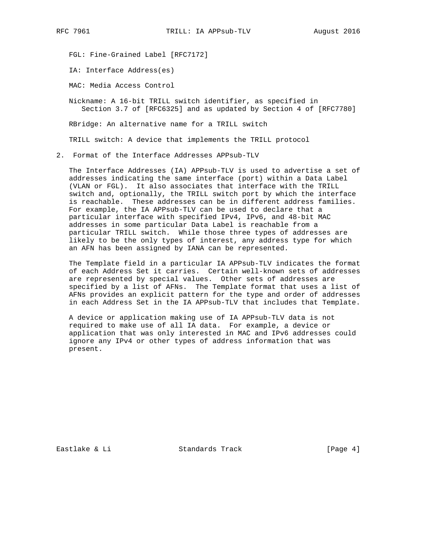FGL: Fine-Grained Label [RFC7172]

IA: Interface Address(es)

MAC: Media Access Control

 Nickname: A 16-bit TRILL switch identifier, as specified in Section 3.7 of [RFC6325] and as updated by Section 4 of [RFC7780]

RBridge: An alternative name for a TRILL switch

TRILL switch: A device that implements the TRILL protocol

2. Format of the Interface Addresses APPsub-TLV

 The Interface Addresses (IA) APPsub-TLV is used to advertise a set of addresses indicating the same interface (port) within a Data Label (VLAN or FGL). It also associates that interface with the TRILL switch and, optionally, the TRILL switch port by which the interface is reachable. These addresses can be in different address families. For example, the IA APPsub-TLV can be used to declare that a particular interface with specified IPv4, IPv6, and 48-bit MAC addresses in some particular Data Label is reachable from a particular TRILL switch. While those three types of addresses are likely to be the only types of interest, any address type for which an AFN has been assigned by IANA can be represented.

 The Template field in a particular IA APPsub-TLV indicates the format of each Address Set it carries. Certain well-known sets of addresses are represented by special values. Other sets of addresses are specified by a list of AFNs. The Template format that uses a list of AFNs provides an explicit pattern for the type and order of addresses in each Address Set in the IA APPsub-TLV that includes that Template.

 A device or application making use of IA APPsub-TLV data is not required to make use of all IA data. For example, a device or application that was only interested in MAC and IPv6 addresses could ignore any IPv4 or other types of address information that was present.

Eastlake & Li Standards Track [Page 4]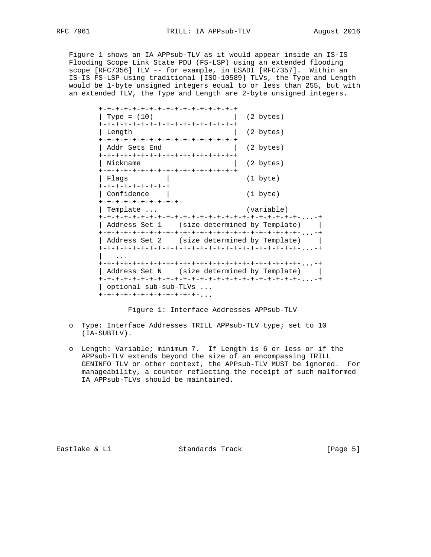Figure 1 shows an IA APPsub-TLV as it would appear inside an IS-IS Flooding Scope Link State PDU (FS-LSP) using an extended flooding scope [RFC7356] TLV -- for example, in ESADI [RFC7357]. Within an IS-IS FS-LSP using traditional [ISO-10589] TLVs, the Type and Length would be 1-byte unsigned integers equal to or less than 255, but with an extended TLV, the Type and Length are 2-byte unsigned integers.

|                                    | +-+-+-+-+-+-+-+-+-+-+-+-+-+-+-+-+-                                       |                                             |
|------------------------------------|--------------------------------------------------------------------------|---------------------------------------------|
| Type = $(10)$                      |                                                                          | $(2 \text{ bytes})$                         |
| Length                             | +-+-+-+-+-+-+-+-+-+-+-+-+-+-+-+-+-<br>+-+-+-+-+-+-+-+-+-+-+-+-+-+-+-+-+- | $(2 \text{ bytes})$                         |
| Addr Sets End                      | +-+-+-+-+-+-+-+-+-+-+-+-+-+-+-+-+-                                       | $(2 \text{ bytes})$                         |
| Nickname                           | +-+-+-+-+-+-+-+-+-+-+-+-+-+-+-+-+-                                       | $(2 \text{ bytes})$                         |
| Flags<br>+-+-+-+-+-+-+-+-+         |                                                                          | $(1 \text{byte})$                           |
| Confidence<br>+-+-+-+-+-+-+-+-+-+- |                                                                          | $(1 \text{byte})$                           |
| Template                           |                                                                          | (variable)                                  |
|                                    |                                                                          | Address Set 1 (size determined by Template) |
|                                    |                                                                          | Address Set 2 (size determined by Template) |
|                                    |                                                                          | Address Set N (size determined by Template) |
|                                    | optional sub-sub-TLVs<br>+-+-+-+-+-+-+-+-+-+-+-+-                        |                                             |

Figure 1: Interface Addresses APPsub-TLV

- o Type: Interface Addresses TRILL APPsub-TLV type; set to 10 (IA-SUBTLV).
- o Length: Variable; minimum 7. If Length is 6 or less or if the APPsub-TLV extends beyond the size of an encompassing TRILL GENINFO TLV or other context, the APPsub-TLV MUST be ignored. For manageability, a counter reflecting the receipt of such malformed IA APPsub-TLVs should be maintained.

Eastlake & Li Standards Track [Page 5]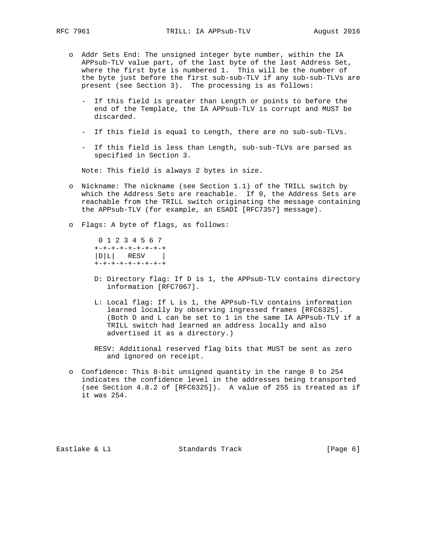- o Addr Sets End: The unsigned integer byte number, within the IA APPsub-TLV value part, of the last byte of the last Address Set, where the first byte is numbered 1. This will be the number of the byte just before the first sub-sub-TLV if any sub-sub-TLVs are present (see Section 3). The processing is as follows:
	- If this field is greater than Length or points to before the end of the Template, the IA APPsub-TLV is corrupt and MUST be discarded.
	- If this field is equal to Length, there are no sub-sub-TLVs.
	- If this field is less than Length, sub-sub-TLVs are parsed as specified in Section 3.

Note: This field is always 2 bytes in size.

- o Nickname: The nickname (see Section 1.1) of the TRILL switch by which the Address Sets are reachable. If 0, the Address Sets are reachable from the TRILL switch originating the message containing the APPsub-TLV (for example, an ESADI [RFC7357] message).
- o Flags: A byte of flags, as follows:

 0 1 2 3 4 5 6 7 +-+-+-+-+-+-+-+-+  $|D|L|$  RESV  $|$ +-+-+-+-+-+-+-+-+

- D: Directory flag: If D is 1, the APPsub-TLV contains directory information [RFC7067].
- L: Local flag: If L is 1, the APPsub-TLV contains information learned locally by observing ingressed frames [RFC6325]. (Both D and L can be set to 1 in the same IA APPsub-TLV if a TRILL switch had learned an address locally and also advertised it as a directory.)
- RESV: Additional reserved flag bits that MUST be sent as zero and ignored on receipt.
- o Confidence: This 8-bit unsigned quantity in the range 0 to 254 indicates the confidence level in the addresses being transported (see Section 4.8.2 of [RFC6325]). A value of 255 is treated as if it was 254.

Eastlake & Li **Standards Track** [Page 6]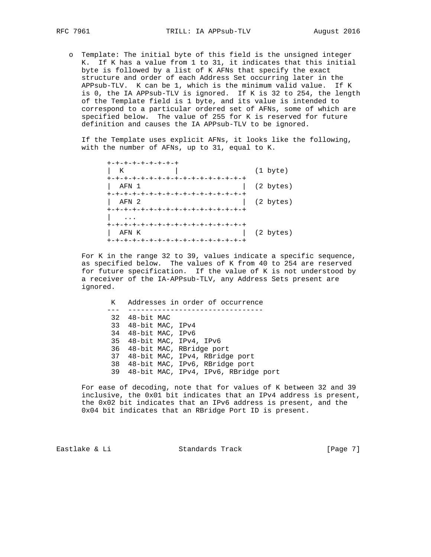o Template: The initial byte of this field is the unsigned integer K. If K has a value from 1 to 31, it indicates that this initial byte is followed by a list of K AFNs that specify the exact structure and order of each Address Set occurring later in the APPsub-TLV. K can be 1, which is the minimum valid value. If K is 0, the IA APPsub-TLV is ignored. If K is 32 to 254, the length of the Template field is 1 byte, and its value is intended to correspond to a particular ordered set of AFNs, some of which are specified below. The value of 255 for K is reserved for future definition and causes the IA APPsub-TLV to be ignored.

 If the Template uses explicit AFNs, it looks like the following, with the number of AFNs, up to 31, equal to K.

 +-+-+-+-+-+-+-+-+ | K | (1 byte) +-+-+-+-+-+-+-+-+-+-+-+-+-+-+-+-+ | AFN 1 | (2 bytes) +-+-+-+-+-+-+-+-+-+-+-+-+-+-+-+-+ | AFN 2 | (2 bytes) +-+-+-+-+-+-+-+-+-+-+-+-+-+-+-+-+ | ... +-+-+-+-+-+-+-+-+-+-+-+-+-+-+-+-+ | AFN K | (2 bytes) +-+-+-+-+-+-+-+-+-+-+-+-+-+-+-+-+

 For K in the range 32 to 39, values indicate a specific sequence, as specified below. The values of K from 40 to 254 are reserved for future specification. If the value of K is not understood by a receiver of the IA-APPsub-TLV, any Address Sets present are ignored.

 K Addresses in order of occurrence --- -------------------------------- 32 48-bit MAC 33 48-bit MAC, IPv4 34 48-bit MAC, IPv6 35 48-bit MAC, IPv4, IPv6 36 48-bit MAC, RBridge port 37 48-bit MAC, IPv4, RBridge port 38 48-bit MAC, IPv6, RBridge port 39 48-bit MAC, IPv4, IPv6, RBridge port

> For ease of decoding, note that for values of K between 32 and 39 inclusive, the 0x01 bit indicates that an IPv4 address is present, the 0x02 bit indicates that an IPv6 address is present, and the 0x04 bit indicates that an RBridge Port ID is present.

Eastlake & Li Standards Track [Page 7]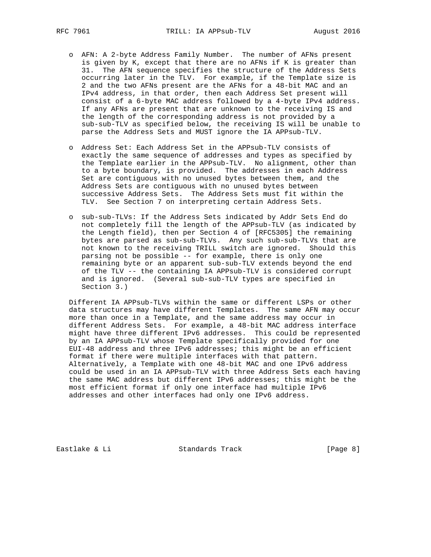- o AFN: A 2-byte Address Family Number. The number of AFNs present is given by K, except that there are no AFNs if K is greater than 31. The AFN sequence specifies the structure of the Address Sets occurring later in the TLV. For example, if the Template size is 2 and the two AFNs present are the AFNs for a 48-bit MAC and an IPv4 address, in that order, then each Address Set present will consist of a 6-byte MAC address followed by a 4-byte IPv4 address. If any AFNs are present that are unknown to the receiving IS and the length of the corresponding address is not provided by a sub-sub-TLV as specified below, the receiving IS will be unable to parse the Address Sets and MUST ignore the IA APPsub-TLV.
- o Address Set: Each Address Set in the APPsub-TLV consists of exactly the same sequence of addresses and types as specified by the Template earlier in the APPsub-TLV. No alignment, other than to a byte boundary, is provided. The addresses in each Address Set are contiguous with no unused bytes between them, and the Address Sets are contiguous with no unused bytes between successive Address Sets. The Address Sets must fit within the TLV. See Section 7 on interpreting certain Address Sets.
- o sub-sub-TLVs: If the Address Sets indicated by Addr Sets End do not completely fill the length of the APPsub-TLV (as indicated by the Length field), then per Section 4 of [RFC5305] the remaining bytes are parsed as sub-sub-TLVs. Any such sub-sub-TLVs that are not known to the receiving TRILL switch are ignored. Should this parsing not be possible -- for example, there is only one remaining byte or an apparent sub-sub-TLV extends beyond the end of the TLV -- the containing IA APPsub-TLV is considered corrupt and is ignored. (Several sub-sub-TLV types are specified in Section 3.)

 Different IA APPsub-TLVs within the same or different LSPs or other data structures may have different Templates. The same AFN may occur more than once in a Template, and the same address may occur in different Address Sets. For example, a 48-bit MAC address interface might have three different IPv6 addresses. This could be represented by an IA APPsub-TLV whose Template specifically provided for one EUI-48 address and three IPv6 addresses; this might be an efficient format if there were multiple interfaces with that pattern. Alternatively, a Template with one 48-bit MAC and one IPv6 address could be used in an IA APPsub-TLV with three Address Sets each having the same MAC address but different IPv6 addresses; this might be the most efficient format if only one interface had multiple IPv6 addresses and other interfaces had only one IPv6 address.

Eastlake & Li Standards Track [Page 8]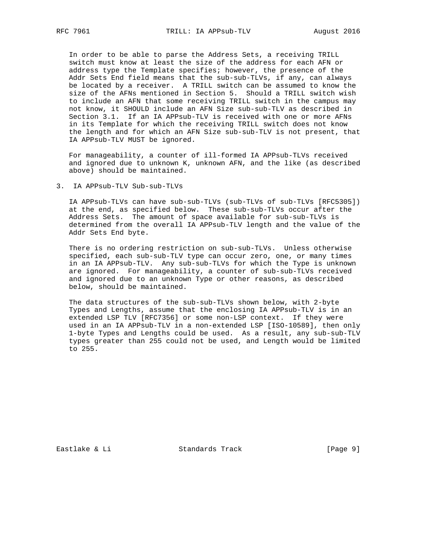In order to be able to parse the Address Sets, a receiving TRILL switch must know at least the size of the address for each AFN or address type the Template specifies; however, the presence of the Addr Sets End field means that the sub-sub-TLVs, if any, can always be located by a receiver. A TRILL switch can be assumed to know the size of the AFNs mentioned in Section 5. Should a TRILL switch wish to include an AFN that some receiving TRILL switch in the campus may not know, it SHOULD include an AFN Size sub-sub-TLV as described in Section 3.1. If an IA APPsub-TLV is received with one or more AFNs in its Template for which the receiving TRILL switch does not know the length and for which an AFN Size sub-sub-TLV is not present, that IA APPsub-TLV MUST be ignored.

 For manageability, a counter of ill-formed IA APPsub-TLVs received and ignored due to unknown K, unknown AFN, and the like (as described above) should be maintained.

3. IA APPsub-TLV Sub-sub-TLVs

 IA APPsub-TLVs can have sub-sub-TLVs (sub-TLVs of sub-TLVs [RFC5305]) at the end, as specified below. These sub-sub-TLVs occur after the Address Sets. The amount of space available for sub-sub-TLVs is determined from the overall IA APPsub-TLV length and the value of the Addr Sets End byte.

 There is no ordering restriction on sub-sub-TLVs. Unless otherwise specified, each sub-sub-TLV type can occur zero, one, or many times in an IA APPsub-TLV. Any sub-sub-TLVs for which the Type is unknown are ignored. For manageability, a counter of sub-sub-TLVs received and ignored due to an unknown Type or other reasons, as described below, should be maintained.

 The data structures of the sub-sub-TLVs shown below, with 2-byte Types and Lengths, assume that the enclosing IA APPsub-TLV is in an extended LSP TLV [RFC7356] or some non-LSP context. If they were used in an IA APPsub-TLV in a non-extended LSP [ISO-10589], then only 1-byte Types and Lengths could be used. As a result, any sub-sub-TLV types greater than 255 could not be used, and Length would be limited to 255.

Eastlake & Li Standards Track [Page 9]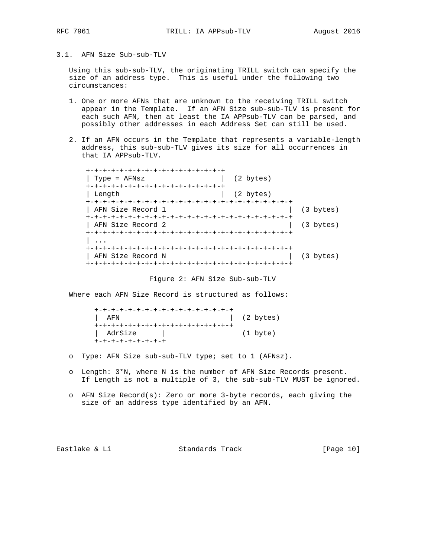- 
- 3.1. AFN Size Sub-sub-TLV

 Using this sub-sub-TLV, the originating TRILL switch can specify the size of an address type. This is useful under the following two circumstances:

- 1. One or more AFNs that are unknown to the receiving TRILL switch appear in the Template. If an AFN Size sub-sub-TLV is present for each such AFN, then at least the IA APPsub-TLV can be parsed, and possibly other addresses in each Address Set can still be used.
- 2. If an AFN occurs in the Template that represents a variable-length address, this sub-sub-TLV gives its size for all occurrences in that IA APPsub-TLV.

 +-+-+-+-+-+-+-+-+-+-+-+-+-+-+-+-+ | Type = AFNsz | (2 bytes) +-+-+-+-+-+-+-+-+-+-+-+-+-+-+-+-+ | Length | (2 bytes) +-+-+-+-+-+-+-+-+-+-+-+-+-+-+-+-+-+-+-+-+-+-+-+-+ | AFN Size Record 1 +-+-+-+-+-+-+-+-+-+-+-+-+-+-+-+-+-+-+-+-+-+-+-+-+ | AFN Size Record 2 | (3 bytes) +-+-+-+-+-+-+-+-+-+-+-+-+-+-+-+-+-+-+-+-+-+-+-+-+ | ... +-+-+-+-+-+-+-+-+-+-+-+-+-+-+-+-+-+-+-+-+-+-+-+-+ | AFN Size Record N | (3 bytes) +-+-+-+-+-+-+-+-+-+-+-+-+-+-+-+-+-+-+-+-+-+-+-+-+

Figure 2: AFN Size Sub-sub-TLV

Where each AFN Size Record is structured as follows:

| +-+-+-+-+-+-+-+-+-+-+-+-+-+-+-+-+-+ |                     |
|-------------------------------------|---------------------|
| AFN                                 | $(2 \text{ bytes})$ |
| +-+-+-+-+-+-+-+-+-+-+-+-+-+-+-+-+-  |                     |
| AdrSize                             | (1 byte)            |
| +-+-+-+-+-+-+-+-+                   |                     |

- o Type: AFN Size sub-sub-TLV type; set to 1 (AFNsz).
- o Length: 3\*N, where N is the number of AFN Size Records present. If Length is not a multiple of 3, the sub-sub-TLV MUST be ignored.
- o AFN Size Record(s): Zero or more 3-byte records, each giving the size of an address type identified by an AFN.

Eastlake & Li Standards Track [Page 10]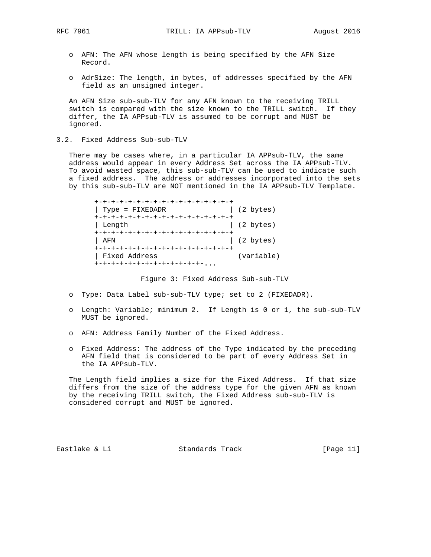- o AFN: The AFN whose length is being specified by the AFN Size Record.
- o AdrSize: The length, in bytes, of addresses specified by the AFN field as an unsigned integer.

 An AFN Size sub-sub-TLV for any AFN known to the receiving TRILL switch is compared with the size known to the TRILL switch. If they differ, the IA APPsub-TLV is assumed to be corrupt and MUST be ignored.

3.2. Fixed Address Sub-sub-TLV

 There may be cases where, in a particular IA APPsub-TLV, the same address would appear in every Address Set across the IA APPsub-TLV. To avoid wasted space, this sub-sub-TLV can be used to indicate such a fixed address. The address or addresses incorporated into the sets by this sub-sub-TLV are NOT mentioned in the IA APPsub-TLV Template.

| +-+-+-+-+-+-+-+-+-+-+-+-+-+-+-+-+-+ |                     |
|-------------------------------------|---------------------|
| Type = FIXEDADR                     | $(2 \text{ bytes})$ |
| +-+-+-+-+-+-+-+-+-+-+-+-+-+-+-+-+-+ |                     |
| Length                              | $(2 \text{ bytes})$ |
| +-+-+-+-+-+-+-+-+-+-+-+-+-+-+-+-+-+ |                     |
| AFN                                 | (2 bytes)           |
| +-+-+-+-+-+-+-+-+-+-+-+-+-+-+-+-+-+ |                     |
| Fixed Address                       | (variable)          |
| +-+-+-+-+-+-+-+-+-+-+-+-+-+-        |                     |

Figure 3: Fixed Address Sub-sub-TLV

- o Type: Data Label sub-sub-TLV type; set to 2 (FIXEDADR).
- o Length: Variable; minimum 2. If Length is 0 or 1, the sub-sub-TLV MUST be ignored.
- o AFN: Address Family Number of the Fixed Address.
- o Fixed Address: The address of the Type indicated by the preceding AFN field that is considered to be part of every Address Set in the IA APPsub-TLV.

 The Length field implies a size for the Fixed Address. If that size differs from the size of the address type for the given AFN as known by the receiving TRILL switch, the Fixed Address sub-sub-TLV is considered corrupt and MUST be ignored.

Eastlake & Li Standards Track [Page 11]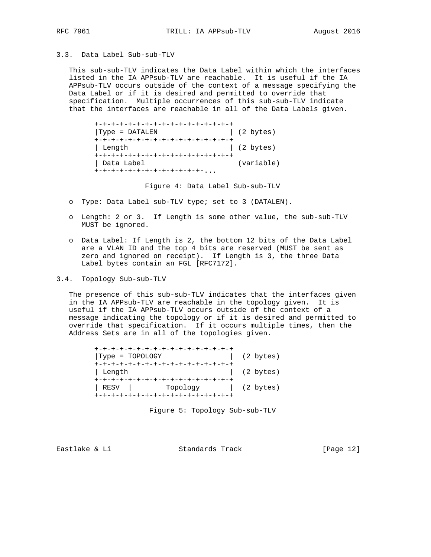3.3. Data Label Sub-sub-TLV

 This sub-sub-TLV indicates the Data Label within which the interfaces listed in the IA APPsub-TLV are reachable. It is useful if the IA APPsub-TLV occurs outside of the context of a message specifying the Data Label or if it is desired and permitted to override that specification. Multiple occurrences of this sub-sub-TLV indicate that the interfaces are reachable in all of the Data Labels given.

 +-+-+-+-+-+-+-+-+-+-+-+-+-+-+-+-+ |Type = DATALEN | (2 bytes) +-+-+-+-+-+-+-+-+-+-+-+-+-+-+-+-+ | Length | (2 bytes) +-+-+-+-+-+-+-+-+-+-+-+-+-+-+-+-+ | Data Label (variable) +-+-+-+-+-+-+-+-+-+-+-+-+-...

Figure 4: Data Label Sub-sub-TLV

- o Type: Data Label sub-TLV type; set to 3 (DATALEN).
- o Length: 2 or 3. If Length is some other value, the sub-sub-TLV MUST be ignored.
- o Data Label: If Length is 2, the bottom 12 bits of the Data Label are a VLAN ID and the top 4 bits are reserved (MUST be sent as zero and ignored on receipt). If Length is 3, the three Data Label bytes contain an FGL [RFC7172].
- 3.4. Topology Sub-sub-TLV

 The presence of this sub-sub-TLV indicates that the interfaces given in the IA APPsub-TLV are reachable in the topology given. It is useful if the IA APPsub-TLV occurs outside of the context of a message indicating the topology or if it is desired and permitted to override that specification. If it occurs multiple times, then the Address Sets are in all of the topologies given.

| +-+-+-+-+-+-+-+-+-+-+-+-+-+-+-+-+-+ |                     |
|-------------------------------------|---------------------|
| $Type = TOPOLOGY$                   | $(2 \text{ bytes})$ |
| +-+-+-+-+-+-+-+-+-+-+-+-+-+-+-+-+-+ |                     |
| ∣ Length                            | $(2 \text{ bytes})$ |
| +-+-+-+-+-+-+-+-+-+-+-+-+-+-+-+-+-+ |                     |
| RESV   Topology   (2 bytes)         |                     |
| +-+-+-+-+-+-+-+-+-+-+-+-+-+-+-+-+-+ |                     |

Figure 5: Topology Sub-sub-TLV

Eastlake & Li Standards Track [Page 12]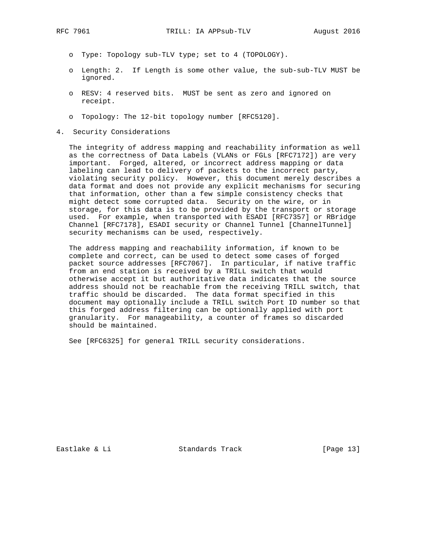- o Type: Topology sub-TLV type; set to 4 (TOPOLOGY).
- o Length: 2. If Length is some other value, the sub-sub-TLV MUST be ignored.
- o RESV: 4 reserved bits. MUST be sent as zero and ignored on receipt.
- o Topology: The 12-bit topology number [RFC5120].
- 4. Security Considerations

 The integrity of address mapping and reachability information as well as the correctness of Data Labels (VLANs or FGLs [RFC7172]) are very important. Forged, altered, or incorrect address mapping or data labeling can lead to delivery of packets to the incorrect party, violating security policy. However, this document merely describes a data format and does not provide any explicit mechanisms for securing that information, other than a few simple consistency checks that might detect some corrupted data. Security on the wire, or in storage, for this data is to be provided by the transport or storage used. For example, when transported with ESADI [RFC7357] or RBridge Channel [RFC7178], ESADI security or Channel Tunnel [ChannelTunnel] security mechanisms can be used, respectively.

 The address mapping and reachability information, if known to be complete and correct, can be used to detect some cases of forged packet source addresses [RFC7067]. In particular, if native traffic from an end station is received by a TRILL switch that would otherwise accept it but authoritative data indicates that the source address should not be reachable from the receiving TRILL switch, that traffic should be discarded. The data format specified in this document may optionally include a TRILL switch Port ID number so that this forged address filtering can be optionally applied with port granularity. For manageability, a counter of frames so discarded should be maintained.

See [RFC6325] for general TRILL security considerations.

Eastlake & Li Standards Track [Page 13]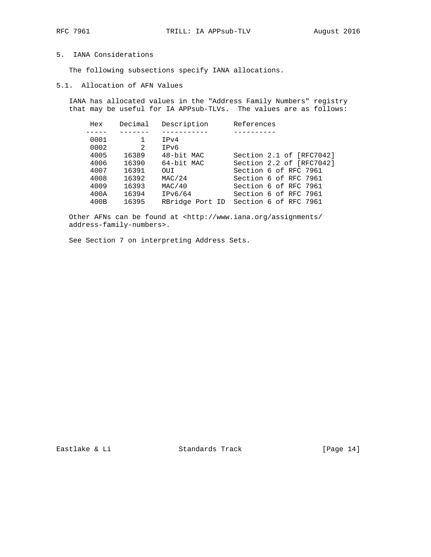## 5. IANA Considerations

The following subsections specify IANA allocations.

5.1. Allocation of AFN Values

 IANA has allocated values in the "Address Family Numbers" registry that may be useful for IA APPsub-TLVs. The values are as follows:

| Hex  | Decimal       | Description | References                            |
|------|---------------|-------------|---------------------------------------|
|      |               |             |                                       |
| 0001 |               | IPv4        |                                       |
| 0002 | $\mathcal{L}$ | IPv6        |                                       |
| 4005 | 16389         | 48-bit MAC  | Section 2.1 of [RFC7042]              |
| 4006 | 16390         | 64-bit MAC  | Section 2.2 of [RFC7042]              |
| 4007 | 16391         | OUI         | Section 6 of RFC 7961                 |
| 4008 | 16392         | MAC/24      | Section 6 of RFC 7961                 |
| 4009 | 16393         | MAC/40      | Section 6 of RFC 7961                 |
| 400A | 16394         | IPv6/64     | Section 6 of RFC 7961                 |
| 400B | 16395         |             | RBridge Port ID Section 6 of RFC 7961 |

 Other AFNs can be found at <http://www.iana.org/assignments/ address-family-numbers>.

See Section 7 on interpreting Address Sets.

Eastlake & Li Standards Track [Page 14]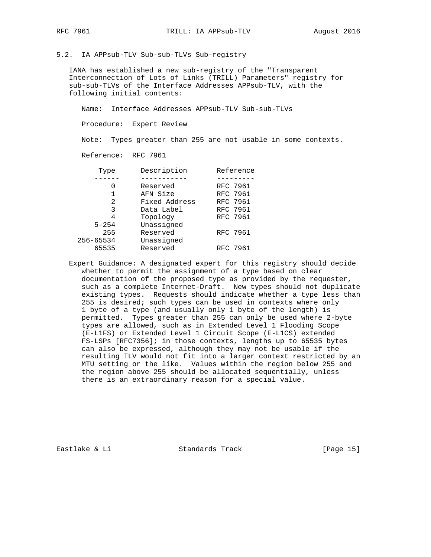5.2. IA APPsub-TLV Sub-sub-TLVs Sub-registry

 IANA has established a new sub-registry of the "Transparent Interconnection of Lots of Links (TRILL) Parameters" registry for sub-sub-TLVs of the Interface Addresses APPsub-TLV, with the following initial contents:

Name: Interface Addresses APPsub-TLV Sub-sub-TLVs

Procedure: Expert Review

Note: Types greater than 255 are not usable in some contexts.

Reference: RFC 7961

| Type      | Description   | Reference |
|-----------|---------------|-----------|
|           |               |           |
| O         | Reserved      | RFC 7961  |
|           | AFN Size      | RFC 7961  |
| 2         | Fixed Address | RFC 7961  |
| 3         | Data Label    | RFC 7961  |
| 4         | Topology      | RFC 7961  |
| $5 - 254$ | Unassigned    |           |
| 255       | Reserved      | RFC 7961  |
| 256-65534 | Unassigned    |           |
| 65535     | Reserved      | RFC 7961  |
|           |               |           |

 Expert Guidance: A designated expert for this registry should decide whether to permit the assignment of a type based on clear documentation of the proposed type as provided by the requester, such as a complete Internet-Draft. New types should not duplicate existing types. Requests should indicate whether a type less than 255 is desired; such types can be used in contexts where only 1 byte of a type (and usually only 1 byte of the length) is permitted. Types greater than 255 can only be used where 2-byte types are allowed, such as in Extended Level 1 Flooding Scope (E-L1FS) or Extended Level 1 Circuit Scope (E-L1CS) extended FS-LSPs [RFC7356]; in those contexts, lengths up to 65535 bytes can also be expressed, although they may not be usable if the resulting TLV would not fit into a larger context restricted by an MTU setting or the like. Values within the region below 255 and the region above 255 should be allocated sequentially, unless there is an extraordinary reason for a special value.

Eastlake & Li Standards Track [Page 15]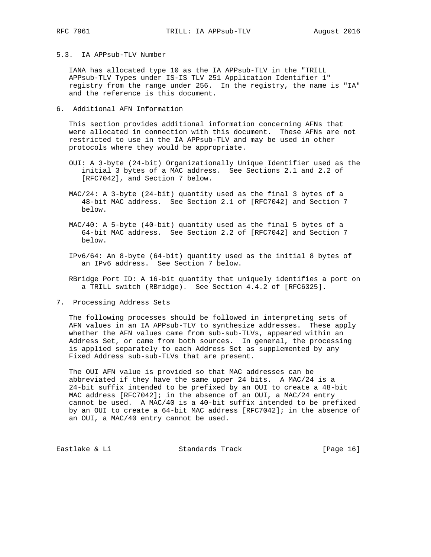5.3. IA APPsub-TLV Number

 IANA has allocated type 10 as the IA APPsub-TLV in the "TRILL APPsub-TLV Types under IS-IS TLV 251 Application Identifier 1" registry from the range under 256. In the registry, the name is "IA" and the reference is this document.

6. Additional AFN Information

 This section provides additional information concerning AFNs that were allocated in connection with this document. These AFNs are not restricted to use in the IA APPsub-TLV and may be used in other protocols where they would be appropriate.

- OUI: A 3-byte (24-bit) Organizationally Unique Identifier used as the initial 3 bytes of a MAC address. See Sections 2.1 and 2.2 of [RFC7042], and Section 7 below.
- MAC/24: A 3-byte (24-bit) quantity used as the final 3 bytes of a 48-bit MAC address. See Section 2.1 of [RFC7042] and Section 7 below.
- MAC/40: A 5-byte (40-bit) quantity used as the final 5 bytes of a 64-bit MAC address. See Section 2.2 of [RFC7042] and Section 7 below.
- IPv6/64: An 8-byte (64-bit) quantity used as the initial 8 bytes of an IPv6 address. See Section 7 below.

 RBridge Port ID: A 16-bit quantity that uniquely identifies a port on a TRILL switch (RBridge). See Section 4.4.2 of [RFC6325].

7. Processing Address Sets

 The following processes should be followed in interpreting sets of AFN values in an IA APPsub-TLV to synthesize addresses. These apply whether the AFN values came from sub-sub-TLVs, appeared within an Address Set, or came from both sources. In general, the processing is applied separately to each Address Set as supplemented by any Fixed Address sub-sub-TLVs that are present.

 The OUI AFN value is provided so that MAC addresses can be abbreviated if they have the same upper 24 bits. A MAC/24 is a 24-bit suffix intended to be prefixed by an OUI to create a 48-bit MAC address [RFC7042]; in the absence of an OUI, a MAC/24 entry cannot be used. A MAC/40 is a 40-bit suffix intended to be prefixed by an OUI to create a 64-bit MAC address [RFC7042]; in the absence of an OUI, a MAC/40 entry cannot be used.

Eastlake & Li Standards Track [Page 16]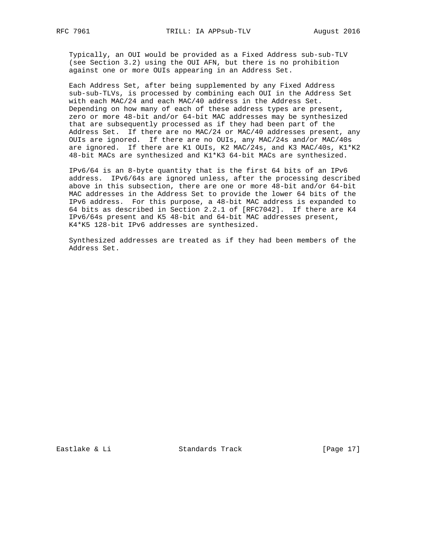Typically, an OUI would be provided as a Fixed Address sub-sub-TLV (see Section 3.2) using the OUI AFN, but there is no prohibition against one or more OUIs appearing in an Address Set.

 Each Address Set, after being supplemented by any Fixed Address sub-sub-TLVs, is processed by combining each OUI in the Address Set with each MAC/24 and each MAC/40 address in the Address Set. Depending on how many of each of these address types are present, zero or more 48-bit and/or 64-bit MAC addresses may be synthesized that are subsequently processed as if they had been part of the Address Set. If there are no MAC/24 or MAC/40 addresses present, any OUIs are ignored. If there are no OUIs, any MAC/24s and/or MAC/40s are ignored. If there are K1 OUIs, K2 MAC/24s, and K3 MAC/40s, K1\*K2 48-bit MACs are synthesized and K1\*K3 64-bit MACs are synthesized.

 IPv6/64 is an 8-byte quantity that is the first 64 bits of an IPv6 address. IPv6/64s are ignored unless, after the processing described above in this subsection, there are one or more 48-bit and/or 64-bit MAC addresses in the Address Set to provide the lower 64 bits of the IPv6 address. For this purpose, a 48-bit MAC address is expanded to 64 bits as described in Section 2.2.1 of [RFC7042]. If there are K4 IPv6/64s present and K5 48-bit and 64-bit MAC addresses present, K4\*K5 128-bit IPv6 addresses are synthesized.

 Synthesized addresses are treated as if they had been members of the Address Set.

Eastlake & Li Standards Track [Page 17]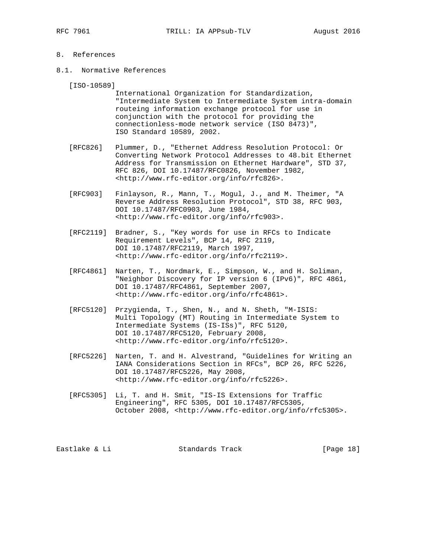# 8. References

8.1. Normative References

[ISO-10589]

- International Organization for Standardization, "Intermediate System to Intermediate System intra-domain routeing information exchange protocol for use in conjunction with the protocol for providing the connectionless-mode network service (ISO 8473)", ISO Standard 10589, 2002.
- [RFC826] Plummer, D., "Ethernet Address Resolution Protocol: Or Converting Network Protocol Addresses to 48.bit Ethernet Address for Transmission on Ethernet Hardware", STD 37, RFC 826, DOI 10.17487/RFC0826, November 1982, <http://www.rfc-editor.org/info/rfc826>.
- [RFC903] Finlayson, R., Mann, T., Mogul, J., and M. Theimer, "A Reverse Address Resolution Protocol", STD 38, RFC 903, DOI 10.17487/RFC0903, June 1984, <http://www.rfc-editor.org/info/rfc903>.
- [RFC2119] Bradner, S., "Key words for use in RFCs to Indicate Requirement Levels", BCP 14, RFC 2119, DOI 10.17487/RFC2119, March 1997, <http://www.rfc-editor.org/info/rfc2119>.
- [RFC4861] Narten, T., Nordmark, E., Simpson, W., and H. Soliman, "Neighbor Discovery for IP version 6 (IPv6)", RFC 4861, DOI 10.17487/RFC4861, September 2007, <http://www.rfc-editor.org/info/rfc4861>.
- [RFC5120] Przygienda, T., Shen, N., and N. Sheth, "M-ISIS: Multi Topology (MT) Routing in Intermediate System to Intermediate Systems (IS-ISs)", RFC 5120, DOI 10.17487/RFC5120, February 2008, <http://www.rfc-editor.org/info/rfc5120>.
- [RFC5226] Narten, T. and H. Alvestrand, "Guidelines for Writing an IANA Considerations Section in RFCs", BCP 26, RFC 5226, DOI 10.17487/RFC5226, May 2008, <http://www.rfc-editor.org/info/rfc5226>.
- [RFC5305] Li, T. and H. Smit, "IS-IS Extensions for Traffic Engineering", RFC 5305, DOI 10.17487/RFC5305, October 2008, <http://www.rfc-editor.org/info/rfc5305>.

| [Page 18] |
|-----------|
|           |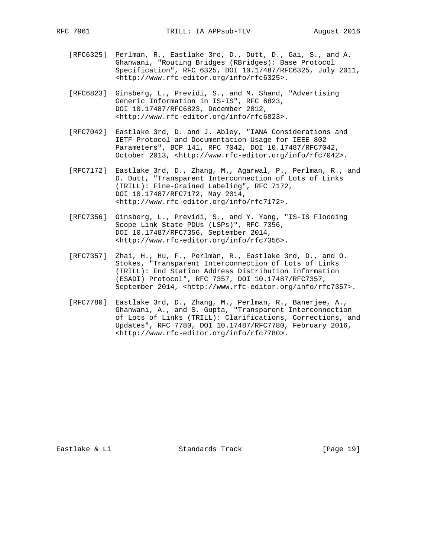- [RFC6325] Perlman, R., Eastlake 3rd, D., Dutt, D., Gai, S., and A. Ghanwani, "Routing Bridges (RBridges): Base Protocol Specification", RFC 6325, DOI 10.17487/RFC6325, July 2011, <http://www.rfc-editor.org/info/rfc6325>.
- [RFC6823] Ginsberg, L., Previdi, S., and M. Shand, "Advertising Generic Information in IS-IS", RFC 6823, DOI 10.17487/RFC6823, December 2012, <http://www.rfc-editor.org/info/rfc6823>.
- [RFC7042] Eastlake 3rd, D. and J. Abley, "IANA Considerations and IETF Protocol and Documentation Usage for IEEE 802 Parameters", BCP 141, RFC 7042, DOI 10.17487/RFC7042, October 2013, <http://www.rfc-editor.org/info/rfc7042>.
- [RFC7172] Eastlake 3rd, D., Zhang, M., Agarwal, P., Perlman, R., and D. Dutt, "Transparent Interconnection of Lots of Links (TRILL): Fine-Grained Labeling", RFC 7172, DOI 10.17487/RFC7172, May 2014, <http://www.rfc-editor.org/info/rfc7172>.
- [RFC7356] Ginsberg, L., Previdi, S., and Y. Yang, "IS-IS Flooding Scope Link State PDUs (LSPs)", RFC 7356, DOI 10.17487/RFC7356, September 2014, <http://www.rfc-editor.org/info/rfc7356>.
- [RFC7357] Zhai, H., Hu, F., Perlman, R., Eastlake 3rd, D., and O. Stokes, "Transparent Interconnection of Lots of Links (TRILL): End Station Address Distribution Information (ESADI) Protocol", RFC 7357, DOI 10.17487/RFC7357, September 2014, <http://www.rfc-editor.org/info/rfc7357>.
- [RFC7780] Eastlake 3rd, D., Zhang, M., Perlman, R., Banerjee, A., Ghanwani, A., and S. Gupta, "Transparent Interconnection of Lots of Links (TRILL): Clarifications, Corrections, and Updates", RFC 7780, DOI 10.17487/RFC7780, February 2016, <http://www.rfc-editor.org/info/rfc7780>.

Eastlake & Li Standards Track [Page 19]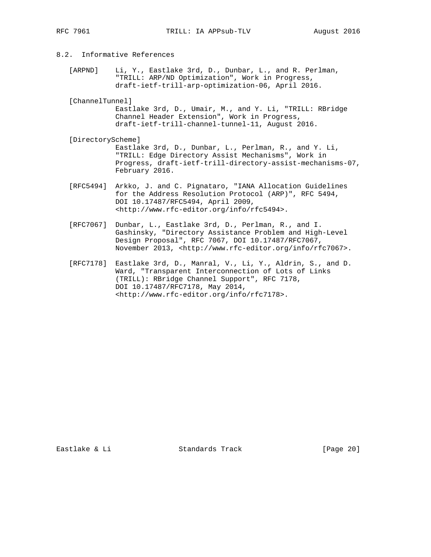# 8.2. Informative References

 [ARPND] Li, Y., Eastlake 3rd, D., Dunbar, L., and R. Perlman, "TRILL: ARP/ND Optimization", Work in Progress, draft-ietf-trill-arp-optimization-06, April 2016.

[ChannelTunnel]

 Eastlake 3rd, D., Umair, M., and Y. Li, "TRILL: RBridge Channel Header Extension", Work in Progress, draft-ietf-trill-channel-tunnel-11, August 2016.

- [DirectoryScheme] Eastlake 3rd, D., Dunbar, L., Perlman, R., and Y. Li, "TRILL: Edge Directory Assist Mechanisms", Work in Progress, draft-ietf-trill-directory-assist-mechanisms-07, February 2016.
- [RFC5494] Arkko, J. and C. Pignataro, "IANA Allocation Guidelines for the Address Resolution Protocol (ARP)", RFC 5494, DOI 10.17487/RFC5494, April 2009, <http://www.rfc-editor.org/info/rfc5494>.
- [RFC7067] Dunbar, L., Eastlake 3rd, D., Perlman, R., and I. Gashinsky, "Directory Assistance Problem and High-Level Design Proposal", RFC 7067, DOI 10.17487/RFC7067, November 2013, <http://www.rfc-editor.org/info/rfc7067>.
- [RFC7178] Eastlake 3rd, D., Manral, V., Li, Y., Aldrin, S., and D. Ward, "Transparent Interconnection of Lots of Links (TRILL): RBridge Channel Support", RFC 7178, DOI 10.17487/RFC7178, May 2014, <http://www.rfc-editor.org/info/rfc7178>.

Eastlake & Li Standards Track [Page 20]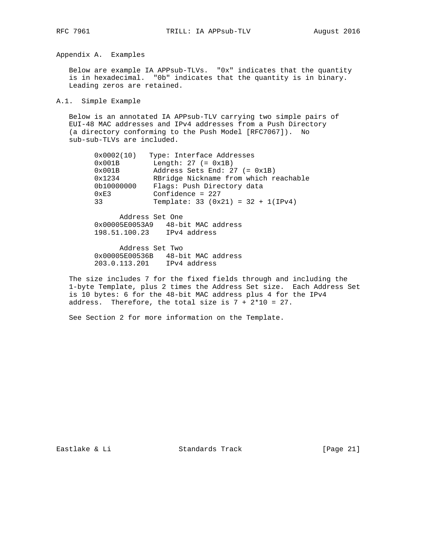Appendix A. Examples

 Below are example IA APPsub-TLVs. "0x" indicates that the quantity is in hexadecimal. "0b" indicates that the quantity is in binary. Leading zeros are retained.

A.1. Simple Example

 Below is an annotated IA APPsub-TLV carrying two simple pairs of EUI-48 MAC addresses and IPv4 addresses from a Push Directory (a directory conforming to the Push Model [RFC7067]). No sub-sub-TLVs are included.

| 0x0002(10)    | Type: Interface Addresses             |
|---------------|---------------------------------------|
| 0x001B        | Length: $27 (= 0x1B)$                 |
| 0x001B        | Address Sets End: $27 (= 0x1B)$       |
| 0x1234        | RBridge Nickname from which reachable |
| 0b10000000    | Flags: Push Directory data            |
| $0 \times E3$ | Confidence = $227$                    |
| 33            | Template: 33 $(0x21) = 32 + 1(IPy4)$  |
|               |                                       |

 Address Set One 0x00005E0053A9 48-bit MAC address 198.51.100.23 IPv4 address

 Address Set Two 0x00005E00536B 48-bit MAC address 203.0.113.201 IPv4 address

 The size includes 7 for the fixed fields through and including the 1-byte Template, plus 2 times the Address Set size. Each Address Set is 10 bytes: 6 for the 48-bit MAC address plus 4 for the IPv4 address. Therefore, the total size is  $7 + 2*10 = 27$ .

See Section 2 for more information on the Template.

Eastlake & Li Standards Track [Page 21]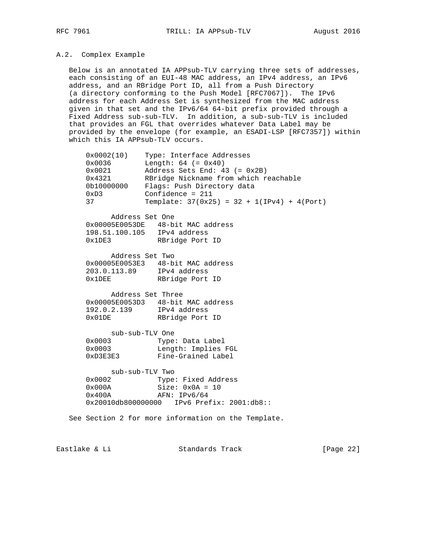#### A.2. Complex Example

 Below is an annotated IA APPsub-TLV carrying three sets of addresses, each consisting of an EUI-48 MAC address, an IPv4 address, an IPv6 address, and an RBridge Port ID, all from a Push Directory (a directory conforming to the Push Model [RFC7067]). The IPv6 address for each Address Set is synthesized from the MAC address given in that set and the IPv6/64 64-bit prefix provided through a Fixed Address sub-sub-TLV. In addition, a sub-sub-TLV is included that provides an FGL that overrides whatever Data Label may be provided by the envelope (for example, an ESADI-LSP [RFC7357]) within which this IA APPsub-TLV occurs.

| 0x0002(10)    | Type: Interface Addresses                     |
|---------------|-----------------------------------------------|
| 0x0036        | Length: $64 (= 0x40)$                         |
| 0x0021        | Address Sets End: $43 (= 0x2B)$               |
| 0x4321        | RBridge Nickname from which reachable         |
| 0b10000000    | Flags: Push Directory data                    |
| $0 \times D3$ | Confidence = $211$                            |
| 37            | Template: $37(0x25) = 32 + 1(IPy4) + 4(Port)$ |
|               |                                               |

 Address Set One 0x00005E0053DE 48-bit MAC address 198.51.100.105 IPv4 address 0x1DE3 RBridge Port ID

 Address Set Two 0x00005E0053E3 48-bit MAC address 203.0.113.89 IPv4 address 0x1DEE RBridge Port ID

 Address Set Three 0x00005E0053D3 48-bit MAC address 192.0.2.139 IPv4 address 0x01DE RBridge Port ID

 sub-sub-TLV One 0x0003 Type: Data Label 0x0003 Length: Implies FGL 0xD3E3E3 Fine-Grained Label

sub-sub-TLV Two

 0x0002 Type: Fixed Address 0x000A Size: 0x0A = 10 0x400A AFN: IPv6/64 0x20010db800000000 IPv6 Prefix: 2001:db8::

See Section 2 for more information on the Template.

Eastlake & Li Standards Track [Page 22]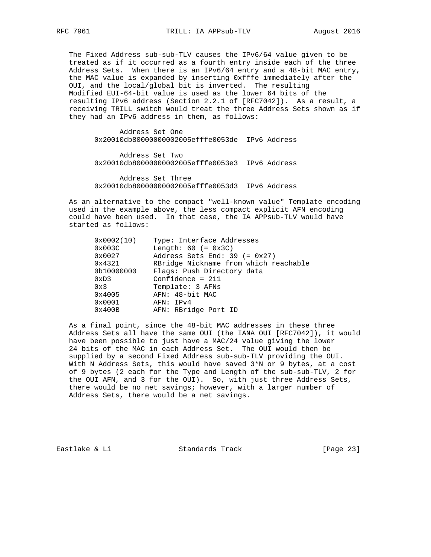The Fixed Address sub-sub-TLV causes the IPv6/64 value given to be treated as if it occurred as a fourth entry inside each of the three Address Sets. When there is an IPv6/64 entry and a 48-bit MAC entry, the MAC value is expanded by inserting 0xfffe immediately after the OUI, and the local/global bit is inverted. The resulting Modified EUI-64-bit value is used as the lower 64 bits of the resulting IPv6 address (Section 2.2.1 of [RFC7042]). As a result, a receiving TRILL switch would treat the three Address Sets shown as if they had an IPv6 address in them, as follows:

 Address Set One 0x20010db80000000002005efffe0053de IPv6 Address

 Address Set Two 0x20010db80000000002005efffe0053e3 IPv6 Address

 Address Set Three 0x20010db80000000002005efffe0053d3 IPv6 Address

 As an alternative to the compact "well-known value" Template encoding used in the example above, the less compact explicit AFN encoding could have been used. In that case, the IA APPsub-TLV would have started as follows:

| 0x0002(10)    | Type: Interface Addresses             |
|---------------|---------------------------------------|
| 0x003C        | Length: $60 (= 0x3C)$                 |
| 0x0027        | Address Sets End: $39 (= 0x27)$       |
| 0x4321        | RBridge Nickname from which reachable |
| 0b10000000    | Flags: Push Directory data            |
| $0 \times D3$ | Confidence = $211$                    |
| 0x3           | Template: 3 AFNs                      |
| 0x4005        | AFN: 48-bit MAC                       |
| 0x0001        | AFN: IPv4                             |
| 0x400B        | AFN: RBridge Port ID                  |

 As a final point, since the 48-bit MAC addresses in these three Address Sets all have the same OUI (the IANA OUI [RFC7042]), it would have been possible to just have a MAC/24 value giving the lower 24 bits of the MAC in each Address Set. The OUI would then be supplied by a second Fixed Address sub-sub-TLV providing the OUI. With N Address Sets, this would have saved 3\*N or 9 bytes, at a cost of 9 bytes (2 each for the Type and Length of the sub-sub-TLV, 2 for the OUI AFN, and 3 for the OUI). So, with just three Address Sets, there would be no net savings; however, with a larger number of Address Sets, there would be a net savings.

Eastlake & Li Standards Track [Page 23]